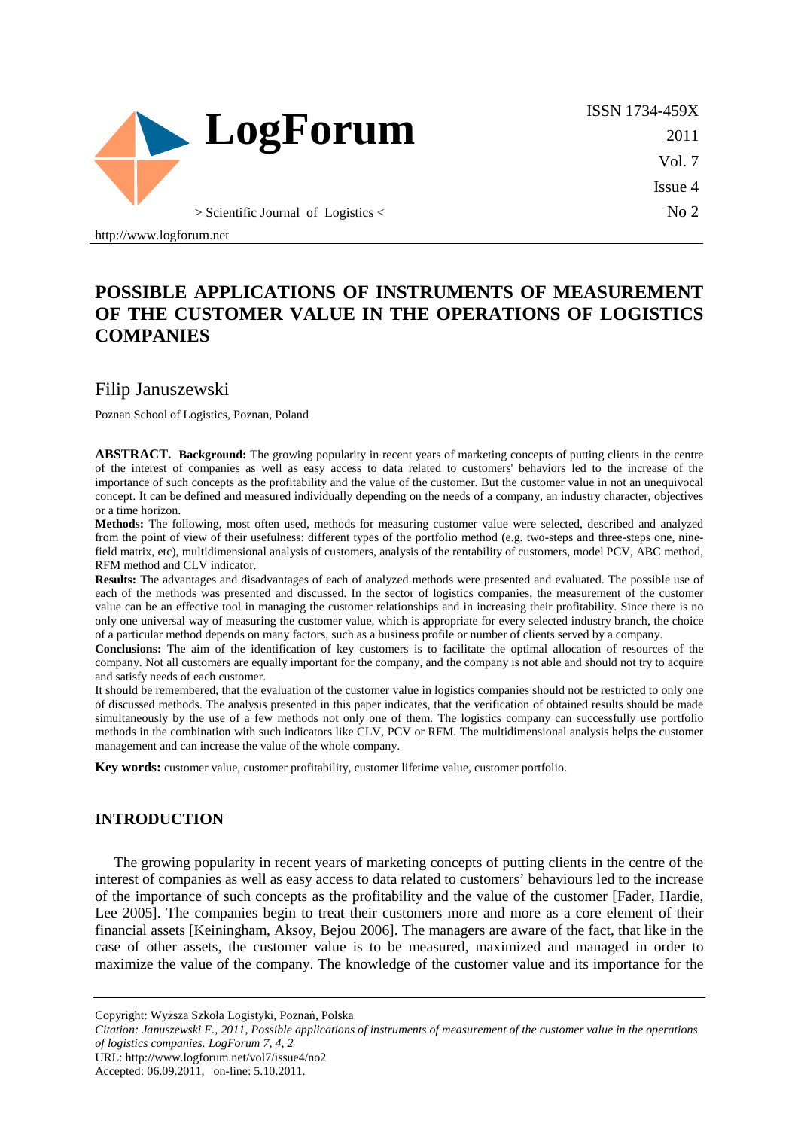

ISSN 1734-459X 2011 Vol. 7 Issue 4 No 2

# **POSSIBLE APPLICATIONS OF INSTRUMENTS OF MEASUREMENT OF THE CUSTOMER VALUE IN THE OPERATIONS OF LOGISTICS COMPANIES**

### Filip Januszewski

http://www.logforum.net

Poznan School of Logistics, Poznan, Poland

**ABSTRACT. Background:** The growing popularity in recent years of marketing concepts of putting clients in the centre of the interest of companies as well as easy access to data related to customers' behaviors led to the increase of the importance of such concepts as the profitability and the value of the customer. But the customer value in not an unequivocal concept. It can be defined and measured individually depending on the needs of a company, an industry character, objectives or a time horizon.

**Methods:** The following, most often used, methods for measuring customer value were selected, described and analyzed from the point of view of their usefulness: different types of the portfolio method (e.g. two-steps and three-steps one, ninefield matrix, etc), multidimensional analysis of customers, analysis of the rentability of customers, model PCV, ABC method, RFM method and CLV indicator.

**Results:** The advantages and disadvantages of each of analyzed methods were presented and evaluated. The possible use of each of the methods was presented and discussed. In the sector of logistics companies, the measurement of the customer value can be an effective tool in managing the customer relationships and in increasing their profitability. Since there is no only one universal way of measuring the customer value, which is appropriate for every selected industry branch, the choice of a particular method depends on many factors, such as a business profile or number of clients served by a company.

**Conclusions:** The aim of the identification of key customers is to facilitate the optimal allocation of resources of the company. Not all customers are equally important for the company, and the company is not able and should not try to acquire and satisfy needs of each customer.

It should be remembered, that the evaluation of the customer value in logistics companies should not be restricted to only one of discussed methods. The analysis presented in this paper indicates, that the verification of obtained results should be made simultaneously by the use of a few methods not only one of them. The logistics company can successfully use portfolio methods in the combination with such indicators like CLV, PCV or RFM. The multidimensional analysis helps the customer management and can increase the value of the whole company.

**Key words:** customer value, customer profitability, customer lifetime value, customer portfolio.

## **INTRODUCTION**

The growing popularity in recent years of marketing concepts of putting clients in the centre of the interest of companies as well as easy access to data related to customers' behaviours led to the increase of the importance of such concepts as the profitability and the value of the customer [Fader, Hardie, Lee 2005]. The companies begin to treat their customers more and more as a core element of their financial assets [Keiningham, Aksoy, Bejou 2006]. The managers are aware of the fact, that like in the case of other assets, the customer value is to be measured, maximized and managed in order to maximize the value of the company. The knowledge of the customer value and its importance for the

Copyright: Wyższa Szkoła Logistyki, Poznań, Polska

*Citation: Januszewski F., 2011, Possible applications of instruments of measurement of the customer value in the operations of logistics companies. LogForum 7, 4, 2*  URL: http://www.logforum.net/vol7/issue4/no2

Accepted: 06.09.2011, on-line: 5.10.2011.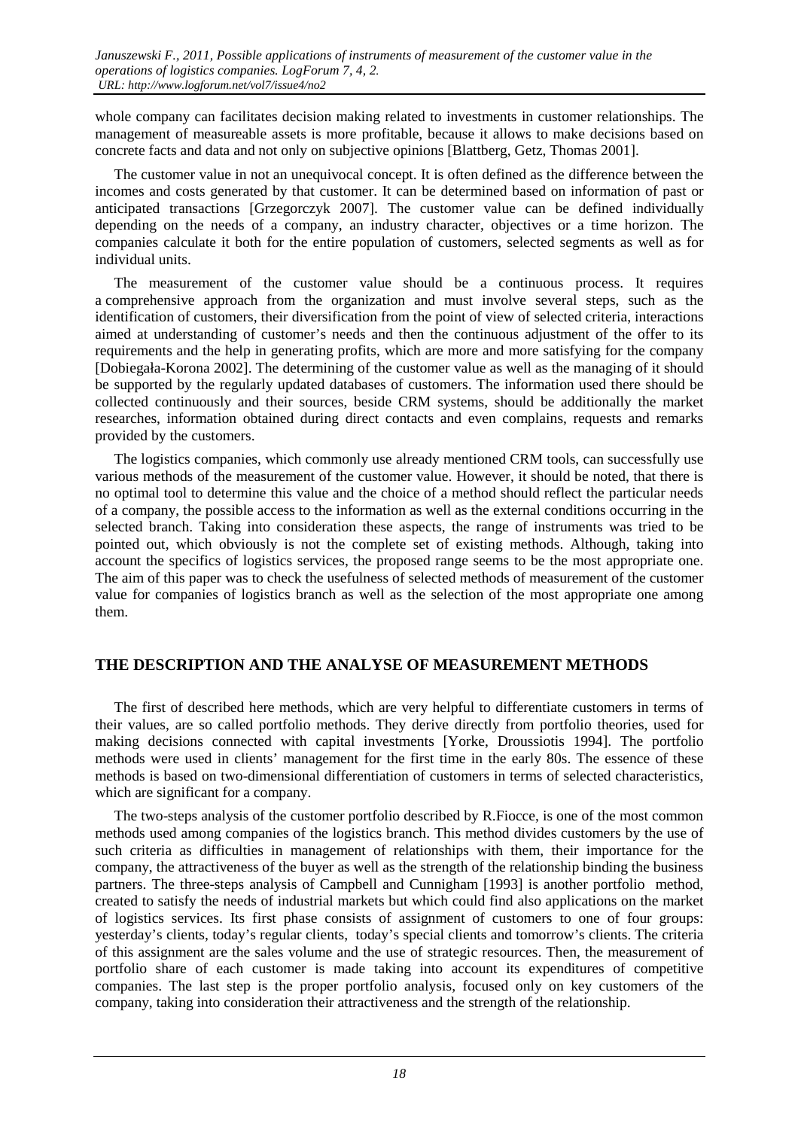whole company can facilitates decision making related to investments in customer relationships. The management of measureable assets is more profitable, because it allows to make decisions based on concrete facts and data and not only on subjective opinions [Blattberg, Getz, Thomas 2001].

The customer value in not an unequivocal concept. It is often defined as the difference between the incomes and costs generated by that customer. It can be determined based on information of past or anticipated transactions [Grzegorczyk 2007]. The customer value can be defined individually depending on the needs of a company, an industry character, objectives or a time horizon. The companies calculate it both for the entire population of customers, selected segments as well as for individual units.

The measurement of the customer value should be a continuous process. It requires a comprehensive approach from the organization and must involve several steps, such as the identification of customers, their diversification from the point of view of selected criteria, interactions aimed at understanding of customer's needs and then the continuous adjustment of the offer to its requirements and the help in generating profits, which are more and more satisfying for the company [Dobiegała-Korona 2002]. The determining of the customer value as well as the managing of it should be supported by the regularly updated databases of customers. The information used there should be collected continuously and their sources, beside CRM systems, should be additionally the market researches, information obtained during direct contacts and even complains, requests and remarks provided by the customers.

The logistics companies, which commonly use already mentioned CRM tools, can successfully use various methods of the measurement of the customer value. However, it should be noted, that there is no optimal tool to determine this value and the choice of a method should reflect the particular needs of a company, the possible access to the information as well as the external conditions occurring in the selected branch. Taking into consideration these aspects, the range of instruments was tried to be pointed out, which obviously is not the complete set of existing methods. Although, taking into account the specifics of logistics services, the proposed range seems to be the most appropriate one. The aim of this paper was to check the usefulness of selected methods of measurement of the customer value for companies of logistics branch as well as the selection of the most appropriate one among them.

#### **THE DESCRIPTION AND THE ANALYSE OF MEASUREMENT METHODS**

The first of described here methods, which are very helpful to differentiate customers in terms of their values, are so called portfolio methods. They derive directly from portfolio theories, used for making decisions connected with capital investments [Yorke, Droussiotis 1994]. The portfolio methods were used in clients' management for the first time in the early 80s. The essence of these methods is based on two-dimensional differentiation of customers in terms of selected characteristics, which are significant for a company.

The two-steps analysis of the customer portfolio described by R.Fiocce, is one of the most common methods used among companies of the logistics branch. This method divides customers by the use of such criteria as difficulties in management of relationships with them, their importance for the company, the attractiveness of the buyer as well as the strength of the relationship binding the business partners. The three-steps analysis of Campbell and Cunnigham [1993] is another portfolio method, created to satisfy the needs of industrial markets but which could find also applications on the market of logistics services. Its first phase consists of assignment of customers to one of four groups: yesterday's clients, today's regular clients, today's special clients and tomorrow's clients. The criteria of this assignment are the sales volume and the use of strategic resources. Then, the measurement of portfolio share of each customer is made taking into account its expenditures of competitive companies. The last step is the proper portfolio analysis, focused only on key customers of the company, taking into consideration their attractiveness and the strength of the relationship.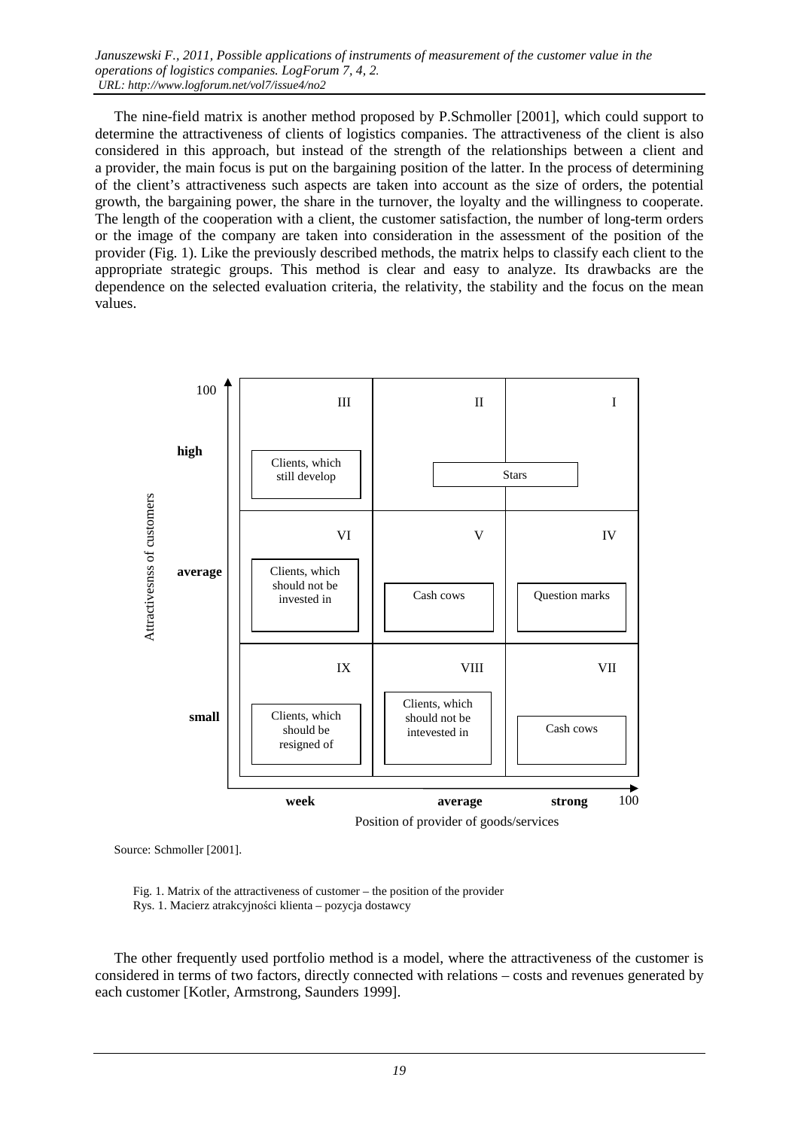The nine-field matrix is another method proposed by P.Schmoller [2001], which could support to determine the attractiveness of clients of logistics companies. The attractiveness of the client is also considered in this approach, but instead of the strength of the relationships between a client and a provider, the main focus is put on the bargaining position of the latter. In the process of determining of the client's attractiveness such aspects are taken into account as the size of orders, the potential growth, the bargaining power, the share in the turnover, the loyalty and the willingness to cooperate. The length of the cooperation with a client, the customer satisfaction, the number of long-term orders or the image of the company are taken into consideration in the assessment of the position of the provider (Fig. 1). Like the previously described methods, the matrix helps to classify each client to the appropriate strategic groups. This method is clear and easy to analyze. Its drawbacks are the dependence on the selected evaluation criteria, the relativity, the stability and the focus on the mean values.



Source: Schmoller [2001].

 Fig. 1. Matrix of the attractiveness of customer – the position of the provider Rys. 1. Macierz atrakcyjności klienta – pozycja dostawcy

The other frequently used portfolio method is a model, where the attractiveness of the customer is considered in terms of two factors, directly connected with relations – costs and revenues generated by each customer [Kotler, Armstrong, Saunders 1999].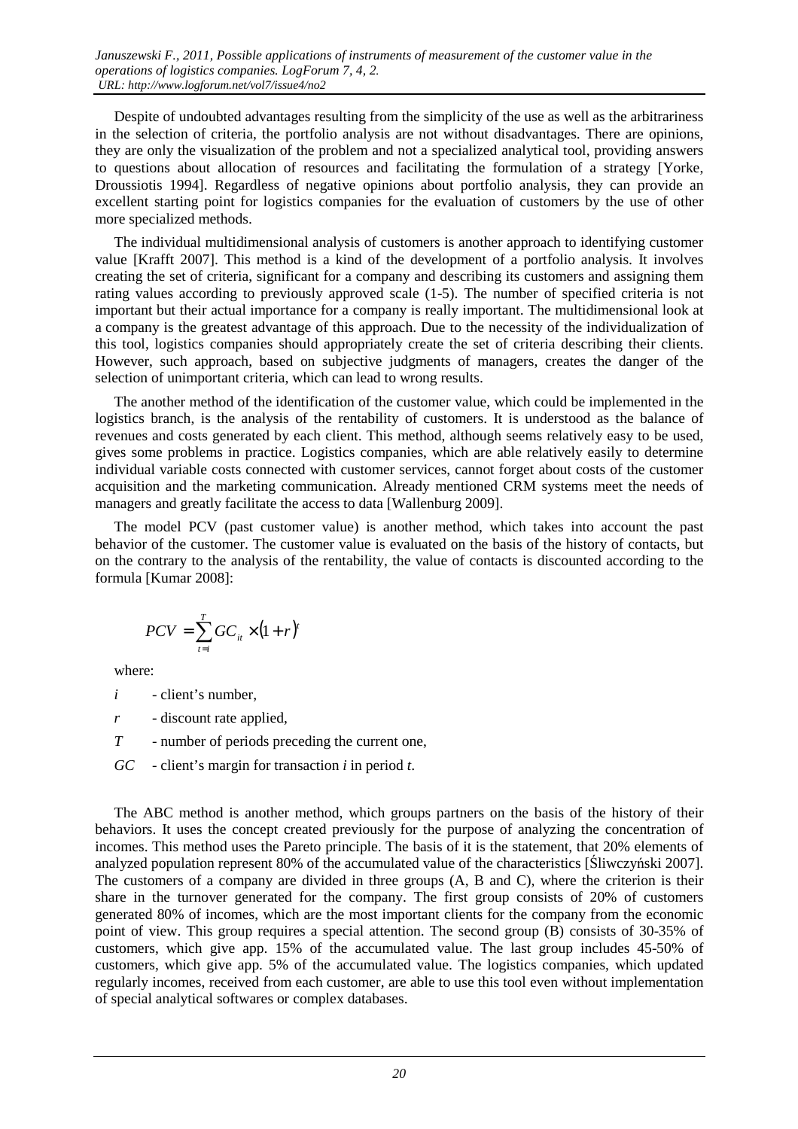Despite of undoubted advantages resulting from the simplicity of the use as well as the arbitrariness in the selection of criteria, the portfolio analysis are not without disadvantages. There are opinions, they are only the visualization of the problem and not a specialized analytical tool, providing answers to questions about allocation of resources and facilitating the formulation of a strategy [Yorke, Droussiotis 1994]. Regardless of negative opinions about portfolio analysis, they can provide an excellent starting point for logistics companies for the evaluation of customers by the use of other more specialized methods.

The individual multidimensional analysis of customers is another approach to identifying customer value [Krafft 2007]. This method is a kind of the development of a portfolio analysis. It involves creating the set of criteria, significant for a company and describing its customers and assigning them rating values according to previously approved scale (1-5). The number of specified criteria is not important but their actual importance for a company is really important. The multidimensional look at a company is the greatest advantage of this approach. Due to the necessity of the individualization of this tool, logistics companies should appropriately create the set of criteria describing their clients. However, such approach, based on subjective judgments of managers, creates the danger of the selection of unimportant criteria, which can lead to wrong results.

The another method of the identification of the customer value, which could be implemented in the logistics branch, is the analysis of the rentability of customers. It is understood as the balance of revenues and costs generated by each client. This method, although seems relatively easy to be used, gives some problems in practice. Logistics companies, which are able relatively easily to determine individual variable costs connected with customer services, cannot forget about costs of the customer acquisition and the marketing communication. Already mentioned CRM systems meet the needs of managers and greatly facilitate the access to data [Wallenburg 2009].

The model PCV (past customer value) is another method, which takes into account the past behavior of the customer. The customer value is evaluated on the basis of the history of contacts, but on the contrary to the analysis of the rentability, the value of contacts is discounted according to the formula [Kumar 2008]:

$$
PCV = \sum_{t=i}^{T} GC_{it} \times (1+r)^{t}
$$

where:

- *i* client's number,
- *r* discount rate applied,
- *T* number of periods preceding the current one,
- *GC* client's margin for transaction *i* in period *t*.

The ABC method is another method, which groups partners on the basis of the history of their behaviors. It uses the concept created previously for the purpose of analyzing the concentration of incomes. This method uses the Pareto principle. The basis of it is the statement, that 20% elements of analyzed population represent 80% of the accumulated value of the characteristics [Śliwczyński 2007]. The customers of a company are divided in three groups (A, B and C), where the criterion is their share in the turnover generated for the company. The first group consists of 20% of customers generated 80% of incomes, which are the most important clients for the company from the economic point of view. This group requires a special attention. The second group (B) consists of 30-35% of customers, which give app. 15% of the accumulated value. The last group includes 45-50% of customers, which give app. 5% of the accumulated value. The logistics companies, which updated regularly incomes, received from each customer, are able to use this tool even without implementation of special analytical softwares or complex databases.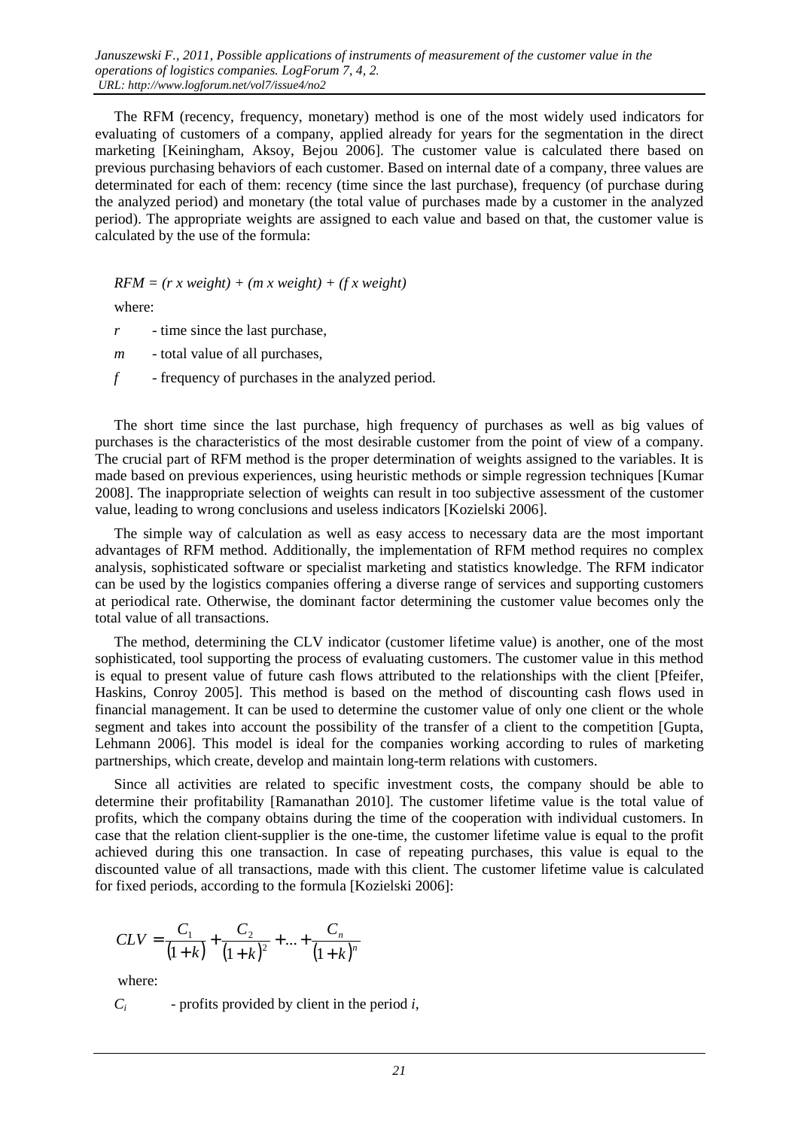The RFM (recency, frequency, monetary) method is one of the most widely used indicators for evaluating of customers of a company, applied already for years for the segmentation in the direct marketing [Keiningham, Aksoy, Bejou 2006]. The customer value is calculated there based on previous purchasing behaviors of each customer. Based on internal date of a company, three values are determinated for each of them: recency (time since the last purchase), frequency (of purchase during the analyzed period) and monetary (the total value of purchases made by a customer in the analyzed period). The appropriate weights are assigned to each value and based on that, the customer value is calculated by the use of the formula:

 $RFM = (r x weight) + (m x weight) + (f x weight)$ 

where:

- *r* time since the last purchase,
- *m* total value of all purchases,
- *f* frequency of purchases in the analyzed period.

The short time since the last purchase, high frequency of purchases as well as big values of purchases is the characteristics of the most desirable customer from the point of view of a company. The crucial part of RFM method is the proper determination of weights assigned to the variables. It is made based on previous experiences, using heuristic methods or simple regression techniques [Kumar 2008]. The inappropriate selection of weights can result in too subjective assessment of the customer value, leading to wrong conclusions and useless indicators [Kozielski 2006].

The simple way of calculation as well as easy access to necessary data are the most important advantages of RFM method. Additionally, the implementation of RFM method requires no complex analysis, sophisticated software or specialist marketing and statistics knowledge. The RFM indicator can be used by the logistics companies offering a diverse range of services and supporting customers at periodical rate. Otherwise, the dominant factor determining the customer value becomes only the total value of all transactions.

The method, determining the CLV indicator (customer lifetime value) is another, one of the most sophisticated, tool supporting the process of evaluating customers. The customer value in this method is equal to present value of future cash flows attributed to the relationships with the client [Pfeifer, Haskins, Conroy 2005]. This method is based on the method of discounting cash flows used in financial management. It can be used to determine the customer value of only one client or the whole segment and takes into account the possibility of the transfer of a client to the competition [Gupta, Lehmann 2006]. This model is ideal for the companies working according to rules of marketing partnerships, which create, develop and maintain long-term relations with customers.

Since all activities are related to specific investment costs, the company should be able to determine their profitability [Ramanathan 2010]. The customer lifetime value is the total value of profits, which the company obtains during the time of the cooperation with individual customers. In case that the relation client-supplier is the one-time, the customer lifetime value is equal to the profit achieved during this one transaction. In case of repeating purchases, this value is equal to the discounted value of all transactions, made with this client. The customer lifetime value is calculated for fixed periods, according to the formula [Kozielski 2006]:

$$
CLV = \frac{C_1}{(1+k)} + \frac{C_2}{(1+k)^2} + ... + \frac{C_n}{(1+k)^n}
$$

where:

*Ci* - profits provided by client in the period *i*,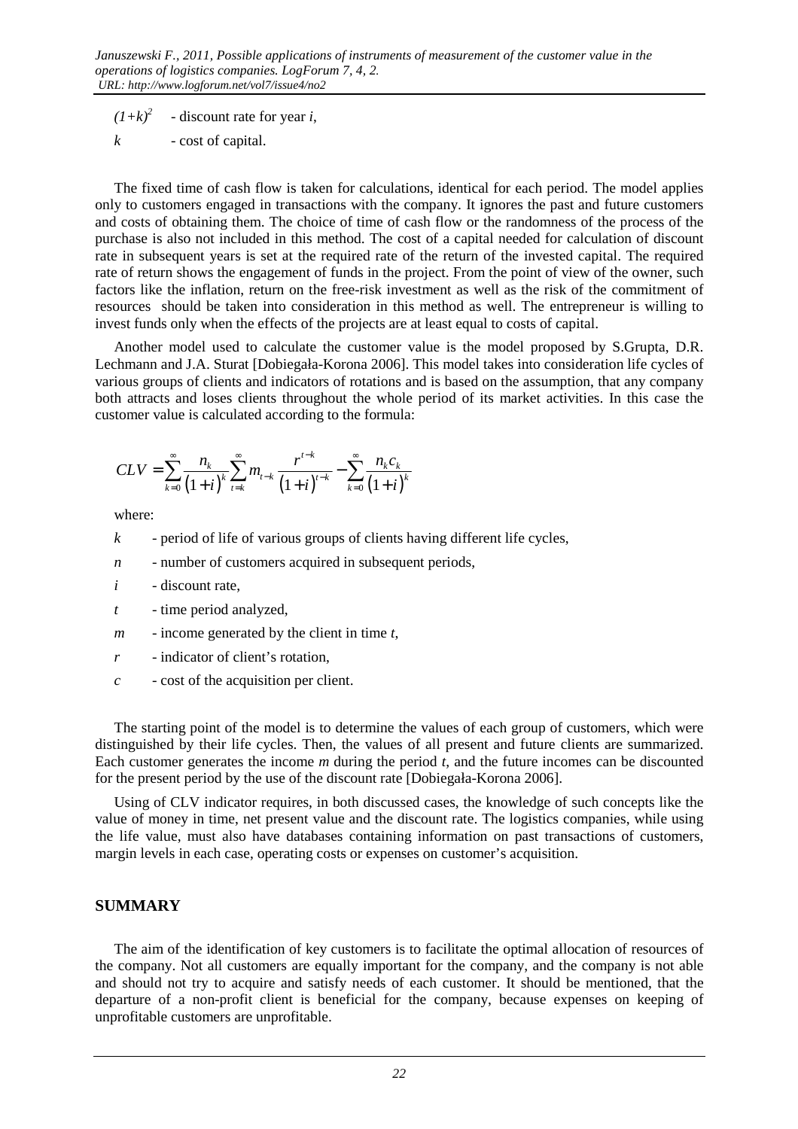$(1+k)^2$ - discount rate for year *i*,

*k* - cost of capital.

The fixed time of cash flow is taken for calculations, identical for each period. The model applies only to customers engaged in transactions with the company. It ignores the past and future customers and costs of obtaining them. The choice of time of cash flow or the randomness of the process of the purchase is also not included in this method. The cost of a capital needed for calculation of discount rate in subsequent years is set at the required rate of the return of the invested capital. The required rate of return shows the engagement of funds in the project. From the point of view of the owner, such factors like the inflation, return on the free-risk investment as well as the risk of the commitment of resources should be taken into consideration in this method as well. The entrepreneur is willing to invest funds only when the effects of the projects are at least equal to costs of capital.

Another model used to calculate the customer value is the model proposed by S.Grupta, D.R. Lechmann and J.A. Sturat [Dobiegała-Korona 2006]. This model takes into consideration life cycles of various groups of clients and indicators of rotations and is based on the assumption, that any company both attracts and loses clients throughout the whole period of its market activities. In this case the customer value is calculated according to the formula:

$$
CLV = \sum_{k=0}^{\infty} \frac{n_k}{(1+i)^k} \sum_{t=k}^{\infty} m_{t-k} \frac{r^{t-k}}{(1+i)^{t-k}} - \sum_{k=0}^{\infty} \frac{n_k c_k}{(1+i)^k}
$$

where:

- *k* period of life of various groups of clients having different life cycles,
- *n* number of customers acquired in subsequent periods,
- *i* discount rate,
- *t* time period analyzed,
- *m* income generated by the client in time *t*,
- *r* indicator of client's rotation,
- *c* cost of the acquisition per client.

The starting point of the model is to determine the values of each group of customers, which were distinguished by their life cycles. Then, the values of all present and future clients are summarized. Each customer generates the income *m* during the period *t*, and the future incomes can be discounted for the present period by the use of the discount rate [Dobiegała-Korona 2006].

Using of CLV indicator requires, in both discussed cases, the knowledge of such concepts like the value of money in time, net present value and the discount rate. The logistics companies, while using the life value, must also have databases containing information on past transactions of customers, margin levels in each case, operating costs or expenses on customer's acquisition.

#### **SUMMARY**

The aim of the identification of key customers is to facilitate the optimal allocation of resources of the company. Not all customers are equally important for the company, and the company is not able and should not try to acquire and satisfy needs of each customer. It should be mentioned, that the departure of a non-profit client is beneficial for the company, because expenses on keeping of unprofitable customers are unprofitable.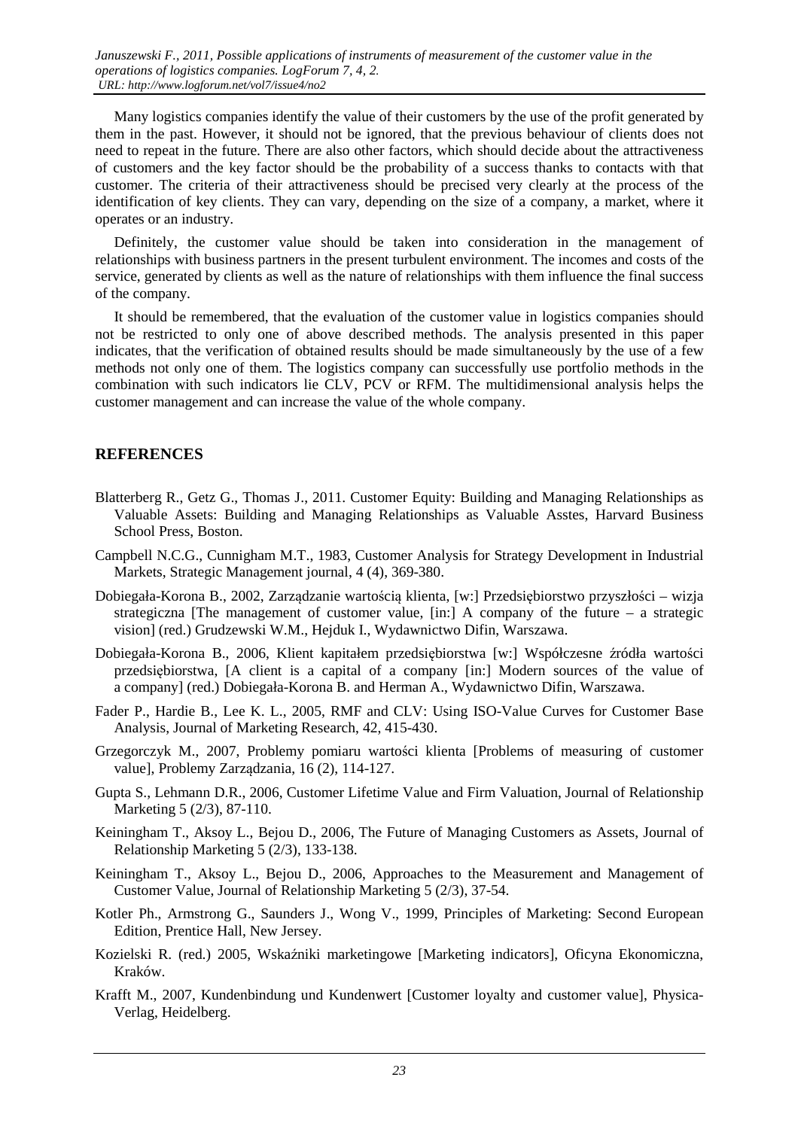Many logistics companies identify the value of their customers by the use of the profit generated by them in the past. However, it should not be ignored, that the previous behaviour of clients does not need to repeat in the future. There are also other factors, which should decide about the attractiveness of customers and the key factor should be the probability of a success thanks to contacts with that customer. The criteria of their attractiveness should be precised very clearly at the process of the identification of key clients. They can vary, depending on the size of a company, a market, where it operates or an industry.

Definitely, the customer value should be taken into consideration in the management of relationships with business partners in the present turbulent environment. The incomes and costs of the service, generated by clients as well as the nature of relationships with them influence the final success of the company.

It should be remembered, that the evaluation of the customer value in logistics companies should not be restricted to only one of above described methods. The analysis presented in this paper indicates, that the verification of obtained results should be made simultaneously by the use of a few methods not only one of them. The logistics company can successfully use portfolio methods in the combination with such indicators lie CLV, PCV or RFM. The multidimensional analysis helps the customer management and can increase the value of the whole company.

#### **REFERENCES**

- Blatterberg R., Getz G., Thomas J., 2011. Customer Equity: Building and Managing Relationships as Valuable Assets: Building and Managing Relationships as Valuable Asstes, Harvard Business School Press, Boston.
- Campbell N.C.G., Cunnigham M.T., 1983, Customer Analysis for Strategy Development in Industrial Markets, Strategic Management journal, 4 (4), 369-380.
- Dobiegała-Korona B., 2002, Zarządzanie wartością klienta, [w:] Przedsiębiorstwo przyszłości wizja strategiczna [The management of customer value,  $\text{sin:1 A}$  company of the future – a strategic vision] (red.) Grudzewski W.M., Hejduk I., Wydawnictwo Difin, Warszawa.
- Dobiegała-Korona B., 2006, Klient kapitałem przedsiębiorstwa [w:] Współczesne źródła wartości przedsiębiorstwa, [A client is a capital of a company [in:] Modern sources of the value of a company] (red.) Dobiegała-Korona B. and Herman A., Wydawnictwo Difin, Warszawa.
- Fader P., Hardie B., Lee K. L., 2005, RMF and CLV: Using ISO-Value Curves for Customer Base Analysis, Journal of Marketing Research, 42, 415-430.
- Grzegorczyk M., 2007, Problemy pomiaru wartości klienta [Problems of measuring of customer value], Problemy Zarządzania, 16 (2), 114-127.
- Gupta S., Lehmann D.R., 2006, Customer Lifetime Value and Firm Valuation, Journal of Relationship Marketing 5 (2/3), 87-110.
- Keiningham T., Aksoy L., Bejou D., 2006, The Future of Managing Customers as Assets, Journal of Relationship Marketing 5 (2/3), 133-138.
- Keiningham T., Aksoy L., Bejou D., 2006, Approaches to the Measurement and Management of Customer Value, Journal of Relationship Marketing 5 (2/3), 37-54.
- Kotler Ph., Armstrong G., Saunders J., Wong V., 1999, Principles of Marketing: Second European Edition, Prentice Hall, New Jersey.
- Kozielski R. (red.) 2005, Wskaźniki marketingowe [Marketing indicators], Oficyna Ekonomiczna, Kraków.
- Krafft M., 2007, Kundenbindung und Kundenwert [Customer loyalty and customer value], Physica-Verlag, Heidelberg.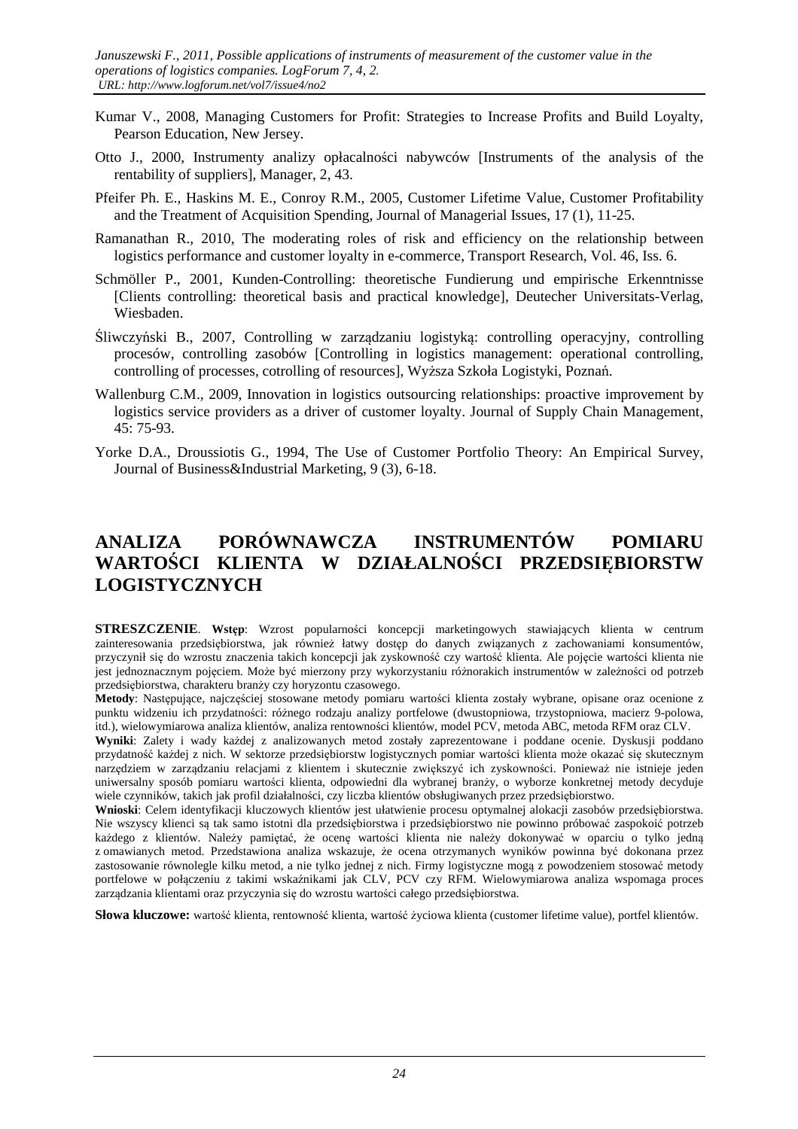- Kumar V., 2008, Managing Customers for Profit: Strategies to Increase Profits and Build Loyalty, Pearson Education, New Jersey.
- Otto J., 2000, Instrumenty analizy opłacalności nabywców [Instruments of the analysis of the rentability of suppliers], Manager, 2, 43.
- Pfeifer Ph. E., Haskins M. E., Conroy R.M., 2005, Customer Lifetime Value, Customer Profitability and the Treatment of Acquisition Spending, Journal of Managerial Issues, 17 (1), 11-25.
- Ramanathan R., 2010, The moderating roles of risk and efficiency on the relationship between logistics performance and customer loyalty in e-commerce, Transport Research, Vol. 46, Iss. 6.
- Schmöller P., 2001, Kunden-Controlling: theoretische Fundierung und empirische Erkenntnisse [Clients controlling: theoretical basis and practical knowledge], Deutecher Universitats-Verlag, Wiesbaden.
- Śliwczyński B., 2007, Controlling w zarządzaniu logistyką: controlling operacyjny, controlling procesów, controlling zasobów [Controlling in logistics management: operational controlling, controlling of processes, cotrolling of resources], Wyższa Szkoła Logistyki, Poznań.
- Wallenburg C.M., 2009. Innovation in logistics outsourcing relationships: proactive improvement by logistics service providers as a driver of customer loyalty. Journal of Supply Chain Management, 45: 75-93.
- Yorke D.A., Droussiotis G., 1994, The Use of Customer Portfolio Theory: An Empirical Survey, Journal of Business&Industrial Marketing, 9 (3), 6-18.

# **ANALIZA PORÓWNAWCZA INSTRUMENTÓW POMIARU WARTOŚCI KLIENTA W DZIAŁALNOŚCI PRZEDSIĘBIORSTW LOGISTYCZNYCH**

**STRESZCZENIE.** Wstep: Wzrost popularności koncepcji marketingowych stawiających klienta w centrum zainteresowania przedsiębiorstwa, jak również łatwy dostęp do danych związanych z zachowaniami konsumentów, przyczynił się do wzrostu znaczenia takich koncepcji jak zyskowność czy wartość klienta. Ale pojęcie wartości klienta nie jest jednoznacznym pojęciem. Może być mierzony przy wykorzystaniu różnorakich instrumentów w zależności od potrzeb przedsiębiorstwa, charakteru branży czy horyzontu czasowego.

**Metody**: Następujące, najczęściej stosowane metody pomiaru wartości klienta zostały wybrane, opisane oraz ocenione z punktu widzeniu ich przydatności: różnego rodzaju analizy portfelowe (dwustopniowa, trzystopniowa, macierz 9-polowa, itd.), wielowymiarowa analiza klientów, analiza rentowności klientów, model PCV, metoda ABC, metoda RFM oraz CLV.

**Wyniki**: Zalety i wady każdej z analizowanych metod zostały zaprezentowane i poddane ocenie. Dyskusji poddano przydatność każdej z nich. W sektorze przedsiębiorstw logistycznych pomiar wartości klienta może okazać się skutecznym narzędziem w zarządzaniu relacjami z klientem i skutecznie zwiększyć ich zyskowności. Ponieważ nie istnieje jeden uniwersalny sposób pomiaru wartości klienta, odpowiedni dla wybranej branży, o wyborze konkretnej metody decyduje wiele czynników, takich jak profil działalności, czy liczba klientów obsługiwanych przez przedsiębiorstwo.

**Wnioski**: Celem identyfikacji kluczowych klientów jest ułatwienie procesu optymalnej alokacji zasobów przedsiębiorstwa. Nie wszyscy klienci są tak samo istotni dla przedsiębiorstwa i przedsiębiorstwo nie powinno próbować zaspokoić potrzeb każdego z klientów. Należy pamiętać, że ocenę wartości klienta nie należy dokonywać w oparciu o tylko jedną z omawianych metod. Przedstawiona analiza wskazuje, że ocena otrzymanych wyników powinna być dokonana przez zastosowanie równolegle kilku metod, a nie tylko jednej z nich. Firmy logistyczne mogą z powodzeniem stosować metody portfelowe w połączeniu z takimi wskaźnikami jak CLV, PCV czy RFM. Wielowymiarowa analiza wspomaga proces zarządzania klientami oraz przyczynia się do wzrostu wartości całego przedsiębiorstwa.

**Słowa kluczowe:** wartość klienta, rentowność klienta, wartość życiowa klienta (customer lifetime value), portfel klientów.